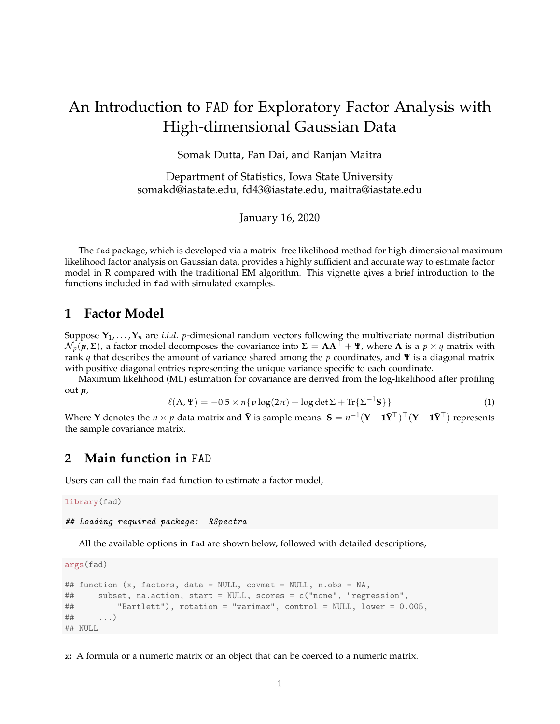## An Introduction to FAD for Exploratory Factor Analysis with High-dimensional Gaussian Data

Somak Dutta, Fan Dai, and Ranjan Maitra

Department of Statistics, Iowa State University somakd@iastate.edu, fd43@iastate.edu, maitra@iastate.edu

January 16, 2020

The fad package, which is developed via a matrix–free likelihood method for high-dimensional maximumlikelihood factor analysis on Gaussian data, provides a highly sufficient and accurate way to estimate factor model in R compared with the traditional EM algorithm. This vignette gives a brief introduction to the functions included in fad with simulated examples.

## **1 Factor Model**

Suppose  $Y_1, \ldots, Y_n$  are *i.i.d. p*-dimesional random vectors following the multivariate normal distribution  $\mathcal{N}_p(\mu, \Sigma)$ , a factor model decomposes the covariance into  $\Sigma = \Lambda \Lambda^\top + \Psi$ , where  $\Lambda$  is a  $p \times q$  matrix with rank *q* that describes the amount of variance shared among the *p* coordinates, and **Ψ** is a diagonal matrix with positive diagonal entries representing the unique variance specific to each coordinate.

Maximum likelihood (ML) estimation for covariance are derived from the log-likelihood after profiling out *µ*,

$$
\ell(\Lambda, \Psi) = -0.5 \times n\{p \log(2\pi) + \log \det \Sigma + \text{Tr}\{\Sigma^{-1} \mathbf{S}\}\}\tag{1}
$$

Where **Y** denotes the  $n \times p$  data matrix and  $\bar{\mathbf{Y}}$  is sample means.  $\mathbf{S} = n^{-1}(\mathbf{Y} - \mathbf{1}\bar{\mathbf{Y}}^\top)^\top (\mathbf{Y} - \mathbf{1}\bar{\mathbf{Y}}^\top)$  represents the sample covariance matrix.

## **2 Main function in** FAD

Users can call the main fad function to estimate a factor model,

library(fad)

## Loading required package: RSpectra

All the available options in fad are shown below, followed with detailed descriptions,

args(fad)

```
## function (x, factors, data = NULL, covmat = NULL, n.obs = NA,
## subset, na.action, start = NULL, scores = c("none", "regression",
## "Bartlett"), rotation = "varimax", control = NULL, lower = 0.005,
\# \qquad \ldots)## NULL
```
x**:** A formula or a numeric matrix or an object that can be coerced to a numeric matrix.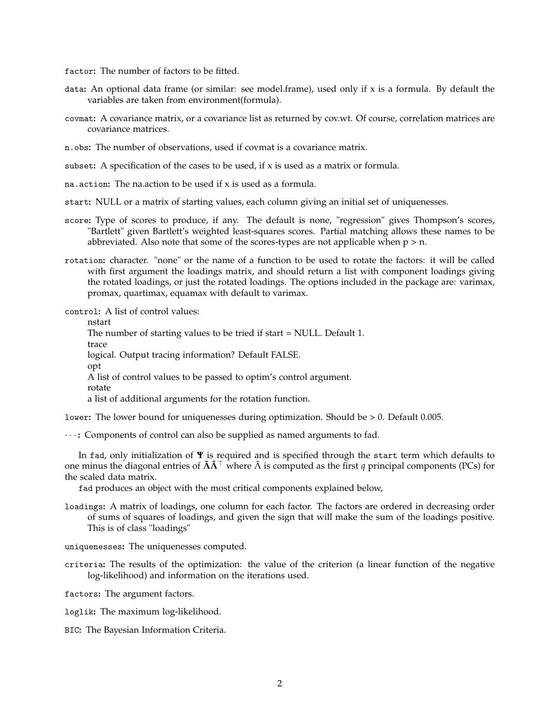factor**:** The number of factors to be fitted.

- data**:** An optional data frame (or similar: see model.frame), used only if x is a formula. By default the variables are taken from environment(formula).
- covmat**:** A covariance matrix, or a covariance list as returned by cov.wt. Of course, correlation matrices are covariance matrices.
- n.obs**:** The number of observations, used if covmat is a covariance matrix.
- subset**:** A specification of the cases to be used, if x is used as a matrix or formula.
- na.action**:** The na.action to be used if x is used as a formula.
- start**:** NULL or a matrix of starting values, each column giving an initial set of uniquenesses.
- score**:** Type of scores to produce, if any. The default is none, "regression" gives Thompson's scores, "Bartlett" given Bartlett's weighted least-squares scores. Partial matching allows these names to be abbreviated. Also note that some of the scores-types are not applicable when  $p > n$ .
- rotation**:** character. "none" or the name of a function to be used to rotate the factors: it will be called with first argument the loadings matrix, and should return a list with component loadings giving the rotated loadings, or just the rotated loadings. The options included in the package are: varimax, promax, quartimax, equamax with default to varimax.

control**:** A list of control values:

nstart The number of starting values to be tried if start = NULL. Default 1. trace logical. Output tracing information? Default FALSE. opt A list of control values to be passed to optim's control argument. rotate a list of additional arguments for the rotation function.

lower**:** The lower bound for uniquenesses during optimization. Should be > 0. Default 0.005.

· · · **:** Components of control can also be supplied as named arguments to fad.

In fad, only initialization of **Ψ** is required and is specified through the start term which defaults to one minus the diagonal entries of  $\tilde{\bf{A}}\tilde{\bf{A}}^{\dagger}$  where  $\tilde{\bf{A}}$  is computed as the first *q* principal components (PCs) for the scaled data matrix.

fad produces an object with the most critical components explained below,

- loadings**:** A matrix of loadings, one column for each factor. The factors are ordered in decreasing order of sums of squares of loadings, and given the sign that will make the sum of the loadings positive. This is of class "loadings"
- uniquenesses**:** The uniquenesses computed.
- criteria**:** The results of the optimization: the value of the criterion (a linear function of the negative log-likelihood) and information on the iterations used.

factors**:** The argument factors.

- loglik**:** The maximum log-likelihood.
- BIC**:** The Bayesian Information Criteria.